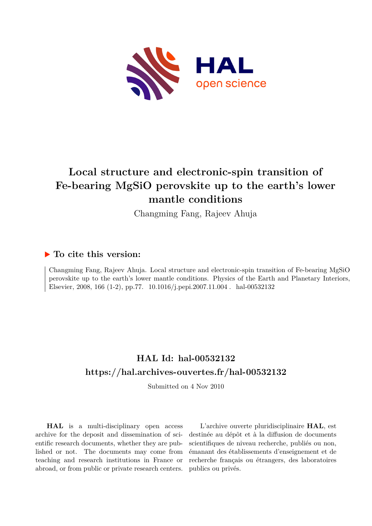

# **Local structure and electronic-spin transition of Fe-bearing MgSiO perovskite up to the earth's lower mantle conditions**

Changming Fang, Rajeev Ahuja

### **To cite this version:**

Changming Fang, Rajeev Ahuja. Local structure and electronic-spin transition of Fe-bearing MgSiO perovskite up to the earth's lower mantle conditions. Physics of the Earth and Planetary Interiors, Elsevier, 2008, 166 (1-2), pp.77.  $10.1016/j.pepi.2007.11.004$ . hal-00532132

# **HAL Id: hal-00532132 <https://hal.archives-ouvertes.fr/hal-00532132>**

Submitted on 4 Nov 2010

**HAL** is a multi-disciplinary open access archive for the deposit and dissemination of scientific research documents, whether they are published or not. The documents may come from teaching and research institutions in France or abroad, or from public or private research centers.

L'archive ouverte pluridisciplinaire **HAL**, est destinée au dépôt et à la diffusion de documents scientifiques de niveau recherche, publiés ou non, émanant des établissements d'enseignement et de recherche français ou étrangers, des laboratoires publics ou privés.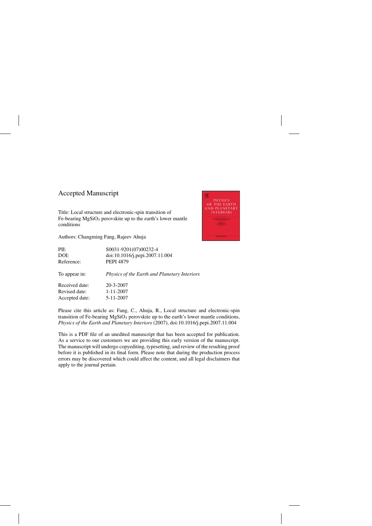## Accepted Manuscript

Title: Local structure and electronic-spin transition of Fe-bearing  $MgSiO<sub>3</sub>$  perovskite up to the earth's lower mantle conditions

Authors: Changming Fang, Rajeev Ahuja



| PII:           | S0031-9201(07)00232-4                               |
|----------------|-----------------------------------------------------|
| DOI:           | doi:10.1016/j.pepi.2007.11.004                      |
| Reference:     | <b>PEPI 4879</b>                                    |
| To appear in:  | <i>Physics of the Earth and Planetary Interiors</i> |
| Received date: | 20-3-2007                                           |
| Revised date:  | $1 - 11 - 2007$                                     |
| Accepted date: | 5-11-2007                                           |

Please cite this article as: Fang, C., Ahuja, R., Local structure and electronic-spin transition of Fe-bearing  $MgSiO<sub>3</sub>$  perovskite up to the earth's lower mantle conditions, *Physics of the Earth and Planetary Interiors* (2007), doi:[10.1016/j.pepi.2007.11.004](dx.doi.org/10.1016/j.pepi.2007.11.004)

This is a PDF file of an unedited manuscript that has been accepted for publication. As a service to our customers we are providing this early version of the manuscript. The manuscript will undergo copyediting, typesetting, and review of the resulting proof before it is published in its final form. Please note that during the production process errors may be discovered which could affect the content, and all legal disclaimers that apply to the journal pertain.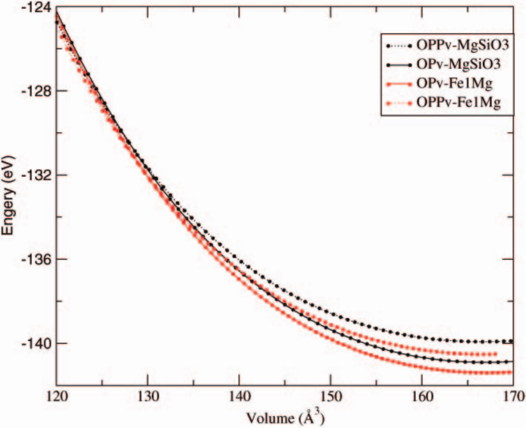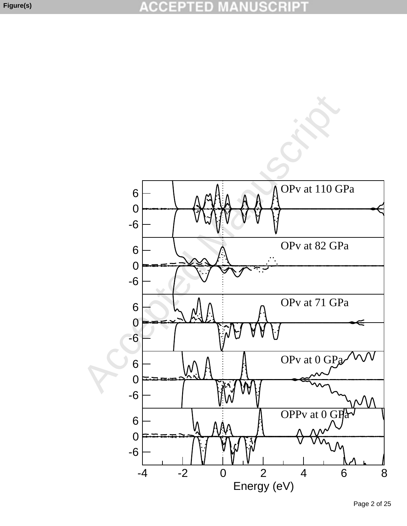

Page 2 of 25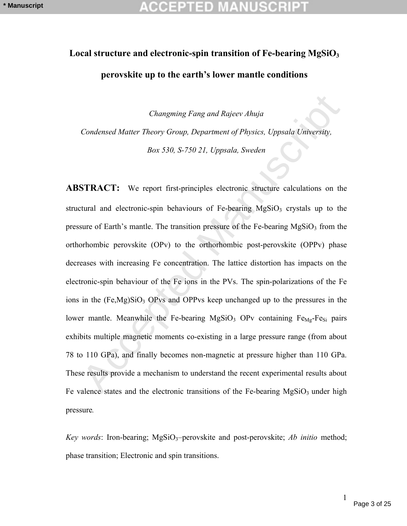# Local structure and electronic-spin transition of Fe-bearing MgSiO<sub>3</sub> **perovskite up to the earth's lower mantle conditions**

*Changming Fang and Rajeev Ahuja* 

*Condensed Matter Theory Group, Department of Physics, Uppsala University,*

*Box 530, S-750 21, Uppsala, Sweden*

Changming Fang and Rajeev Ahuja<br>
Condensed Matter Theory Group, Department of Physics, Uppsala University,<br>  $Box 530$ ,  $S.750$  21, Uppsala, Sweden<br>
STRACT: We report first-principles electronic structure calculations on the **ABSTRACT:** We report first-principles electronic structure calculations on the structural and electronic-spin behaviours of Fe-bearing  $MgSiO<sub>3</sub>$  crystals up to the pressure of Earth's mantle. The transition pressure of the Fe-bearing  $MgSiO<sub>3</sub>$  from the orthorhombic perovskite (OPv) to the orthorhombic post-perovskite (OPPv) phase decreases with increasing Fe concentration. The lattice distortion has impacts on the electronic-spin behaviour of the Fe ions in the PVs. The spin-polarizations of the Fe ions in the  $(Fe, Mg)SiO<sub>3</sub>$  OPvs and OPPvs keep unchanged up to the pressures in the lower mantle. Meanwhile the Fe-bearing MgSiO<sub>3</sub> OPv containing  $Fe_{Me} - Fe_{Si}$  pairs exhibits multiple magnetic moments co-existing in a large pressure range (from about 78 to 110 GPa), and finally becomes non-magnetic at pressure higher than 110 GPa. These results provide a mechanism to understand the recent experimental results about Fe valence states and the electronic transitions of the Fe-bearing  $MgSiO<sub>3</sub>$  under high pressure*.*

*Key words*: Iron-bearing; MgSiO<sub>3</sub>-perovskite and post-perovskite; *Ab initio* method; phase transition; Electronic and spin transitions.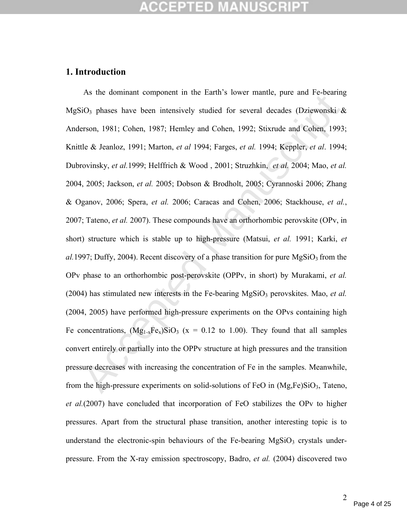### **1. Introduction**

As the dominant component in the Tantu's fower mantee, piece and 1 c-beating<br>iiO<sub>3</sub> phases have been intensively studied for several decades (Dziewonski &<br>erson, 1981; Cohen, 1987; Hemley and Cohen, 1992; Stixrude and Coh As the dominant component in the Earth's lower mantle, pure and Fe-bearing MgSiO<sub>3</sub> phases have been intensively studied for several decades (Dziewonski  $\&$ Anderson, 1981; Cohen, 1987; Hemley and Cohen, 1992; Stixrude and Cohen, 1993; Knittle & Jeanloz, 1991; Marton, *et al* 1994; Farges, *et al.* 1994; Keppler, *et al*. 1994; Dubrovinsky, *et al.*1999; Helffrich & Wood , 2001; Struzhkin, *et al.* 2004; Mao, *et al.* 2004, 2005; Jackson, *et al.* 2005; Dobson & Brodholt, 2005; Cyrannoski 2006; Zhang & Oganov, 2006; Spera, *et al.* 2006; Caracas and Cohen, 2006; Stackhouse, *et al.*, 2007; Tateno, *et al.* 2007). These compounds have an orthorhombic perovskite (OPv, in short) structure which is stable up to high-pressure (Matsui, *et al.* 1991; Karki, *et*   $a$ . 1997; Duffy, 2004). Recent discovery of a phase transition for pure  $MgSiO<sub>3</sub>$  from the OPv phase to an orthorhombic post-perovskite (OPPv, in short) by Murakami, *et al.*  (2004) has stimulated new interests in the Fe-bearing MgSiO<sub>3</sub> perovskites. Mao, *et al.* (2004, 2005) have performed high-pressure experiments on the OPvs containing high Fe concentrations,  $(Mg_{1-x}Fe_x)SiO_3$  (x = 0.12 to 1.00). They found that all samples convert entirely or partially into the OPPv structure at high pressures and the transition pressure decreases with increasing the concentration of Fe in the samples. Meanwhile, from the high-pressure experiments on solid-solutions of FeO in  $(Mg,Fe)SiO<sub>3</sub>$ , Tateno, *et al.*(2007) have concluded that incorporation of FeO stabilizes the OPv to higher pressures. Apart from the structural phase transition, another interesting topic is to understand the electronic-spin behaviours of the Fe-bearing  $MgSiO<sub>3</sub>$  crystals underpressure. From the X-ray emission spectroscopy, Badro, *et al.* (2004) discovered two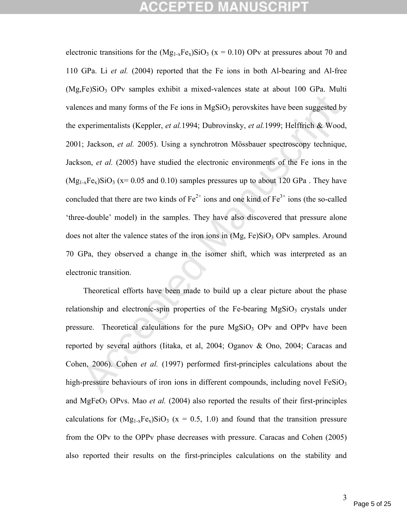# ICEPTED M

and many forms of the Fe ions in MgSiO<sub>3</sub> perovskites have been suggested by<br>experimentalists (Keppler, *et al.* 1994; Dubrovinsky, *et al.* 1999; Helffrich & Wood<br>; Jackson, *et al.* 2005). Using a synchrotron Mössbauer electronic transitions for the  $(Mg_{1-x}Fe_x)SiO_3$  (x = 0.10) OPv at pressures about 70 and 110 GPa. Li *et al.* (2004) reported that the Fe ions in both Al-bearing and Al-free  $(Mg,Fe)SiO<sub>3</sub>$  OPv samples exhibit a mixed-valences state at about 100 GPa. Multi valences and many forms of the Fe ions in  $MgSiO<sub>3</sub>$  perovskites have been suggested by the experimentalists (Keppler, *et al.*1994; Dubrovinsky, *et al.*1999; Helffrich & Wood, 2001; Jackson, *et al.* 2005). Using a synchrotron Mössbauer spectroscopy technique, Jackson, *et al.* (2005) have studied the electronic environments of the Fe ions in the  $(Mg_{1-x}Fe_x)SiO_3$  (x= 0.05 and 0.10) samples pressures up to about 120 GPa. They have concluded that there are two kinds of  $Fe^{2+}$  ions and one kind of  $Fe^{3+}$  ions (the so-called 'three-double' model) in the samples. They have also discovered that pressure alone does not alter the valence states of the iron ions in  $(Mg, Fe)SiO<sub>3</sub>$  OPv samples. Around 70 GPa, they observed a change in the isomer shift, which was interpreted as an electronic transition.

Theoretical efforts have been made to build up a clear picture about the phase relationship and electronic-spin properties of the Fe-bearing  $MgSiO<sub>3</sub>$  crystals under pressure. Theoretical calculations for the pure  $MgSiO<sub>3</sub>$  OPv and OPPv have been reported by several authors (Iitaka, et al, 2004; Oganov & Ono, 2004; Caracas and Cohen, 2006). Cohen *et al.* (1997) performed first-principles calculations about the high-pressure behaviours of iron ions in different compounds, including novel  $FeSiO<sub>3</sub>$ and MgFeO3 OPvs. Mao *et al.* (2004) also reported the results of their first-principles calculations for  $(Mg_{1-x}Fe_x)SiO_3$  (x = 0.5, 1.0) and found that the transition pressure from the OPv to the OPPv phase decreases with pressure. Caracas and Cohen (2005) also reported their results on the first-principles calculations on the stability and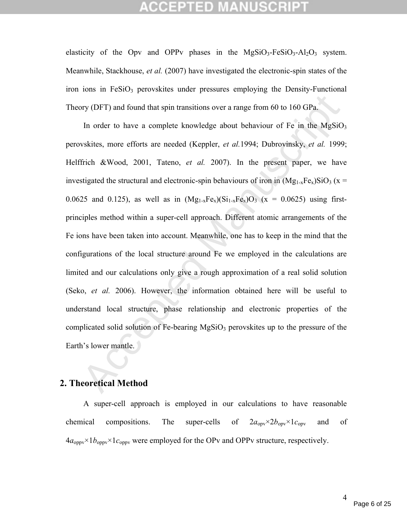elasticity of the Opy and OPPy phases in the MgSiO<sub>3</sub>-FeSiO<sub>3</sub>-Al<sub>2</sub>O<sub>3</sub> system. Meanwhile, Stackhouse, *et al.* (2007) have investigated the electronic-spin states of the iron ions in  $FeSiO<sub>3</sub>$  perovskites under pressures employing the Density-Functional Theory (DFT) and found that spin transitions over a range from 60 to 160 GPa.

by (DFT) and found that spin transitions over a range from 60 to 160 GPa.<br>
In order to have a complete knowledge about behaviour of Fe in the MgSiO,<br>
vskites, more efforts are needed (Keppler, *et al.* 1994; Dubrovinsky, In order to have a complete knowledge about behaviour of Fe in the  $MgSiO<sub>3</sub>$ perovskites, more efforts are needed (Keppler, *et al.*1994; Dubrovinsky, *et al.* 1999; Helffrich &Wood, 2001, Tateno, *et al.* 2007). In the present paper, we have investigated the structural and electronic-spin behaviours of iron in  $(Mg_{1-x}Fe_{x})SiO_{3}$  (x = 0.0625 and 0.125), as well as in  $(Mg_{1-x}Fe_x)(Si_{1-x}Fe_x)O_3$  (x = 0.0625) using firstprinciples method within a super-cell approach. Different atomic arrangements of the Fe ions have been taken into account. Meanwhile, one has to keep in the mind that the configurations of the local structure around Fe we employed in the calculations are limited and our calculations only give a rough approximation of a real solid solution (Seko, *et al.* 2006). However, the information obtained here will be useful to understand local structure, phase relationship and electronic properties of the complicated solid solution of Fe-bearing  $MgSiO<sub>3</sub>$  perovskites up to the pressure of the Earth's lower mantle.

### **2. Theoretical Method**

A super-cell approach is employed in our calculations to have reasonable chemical compositions. The super-cells of  $2a_{\text{op}} \times 2b_{\text{op}} \times 1c_{\text{op}}$  and of  $4a_{\text{oppv}} \times 1b_{\text{oppv}} \times 1c_{\text{oppv}}$  were employed for the OPv and OPPv structure, respectively.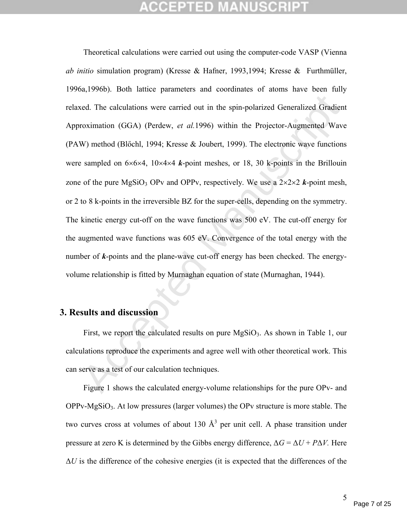icel. The calculations were carried out in the spin-polarized Generalized Gradien<br>roximation (GGA) (Perdew, *et al.* 1996) within the Projector-Augmented Wave<br>W) method (Blöchl, 1994; Kresse & Joubert, 1999). The electron Theoretical calculations were carried out using the computer-code VASP (Vienna *ab initio* simulation program) (Kresse & Hafner, 1993,1994; Kresse & Furthmüller, 1996a,1996b). Both lattice parameters and coordinates of atoms have been fully relaxed. The calculations were carried out in the spin-polarized Generalized Gradient Approximation (GGA) (Perdew, *et al.*1996) within the Projector-Augmented Wave (PAW) method (Blőchl, 1994; Kresse & Joubert, 1999). The electronic wave functions were sampled on  $6\times6\times4$ ,  $10\times4\times4$  *k*-point meshes, or 18, 30 k-points in the Brillouin zone of the pure  $MgSiO_3$  OPv and OPPv, respectively. We use a  $2\times 2\times 2$  *k*-point mesh, or 2 to 8 k-points in the irreversible BZ for the super-cells, depending on the symmetry. The kinetic energy cut-off on the wave functions was 500 eV. The cut-off energy for the augmented wave functions was 605 eV. Convergence of the total energy with the number of *k*-points and the plane-wave cut-off energy has been checked. The energyvolume relationship is fitted by Murnaghan equation of state (Murnaghan, 1944).

## **3. Results and discussion**

First, we report the calculated results on pure  $MgSiO<sub>3</sub>$ . As shown in Table 1, our calculations reproduce the experiments and agree well with other theoretical work. This can serve as a test of our calculation techniques.

Figure 1 shows the calculated energy-volume relationships for the pure OPv- and  $OPPy-MgSiO<sub>3</sub>$ . At low pressures (larger volumes) the OPv structure is more stable. The two curves cross at volumes of about 130  $\mathring{A}^3$  per unit cell. A phase transition under pressure at zero K is determined by the Gibbs energy difference,  $\Delta G = \Delta U + P \Delta V$ . Here  $\Delta U$  is the difference of the cohesive energies (it is expected that the differences of the

5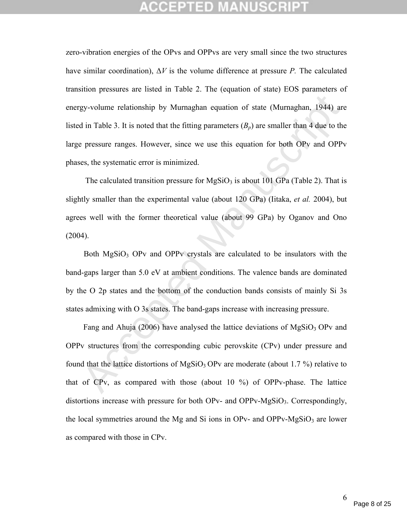gy-volume relationship by Murnaghan equation of state (Murnaghan, 1944) are<br>
ai in Table 3. It is noted that the fitting parameters  $(B_p)$  are smaller than 4 due to the<br>
pressure ranges. However, since we use this equation zero-vibration energies of the OPvs and OPPvs are very small since the two structures have similar coordination),  $\Delta V$  is the volume difference at pressure *P*. The calculated transition pressures are listed in Table 2. The (equation of state) EOS parameters of energy-volume relationship by Murnaghan equation of state (Murnaghan, 1944) are listed in Table 3. It is noted that the fitting parameters  $(B_p)$  are smaller than 4 due to the large pressure ranges. However, since we use this equation for both OPv and OPPv phases, the systematic error is minimized.

The calculated transition pressure for  $MgSiO<sub>3</sub>$  is about 101 GPa (Table 2). That is slightly smaller than the experimental value (about 120 GPa) (Iitaka, *et al.* 2004), but agrees well with the former theoretical value (about 99 GPa) by Oganov and Ono (2004).

Both  $MgSiO<sub>3</sub>$  OPv and OPPv crystals are calculated to be insulators with the band-gaps larger than 5.0 eV at ambient conditions. The valence bands are dominated by the O 2p states and the bottom of the conduction bands consists of mainly Si 3s states admixing with O 3s states. The band-gaps increase with increasing pressure.

Fang and Ahuja (2006) have analysed the lattice deviations of  $MgSiO<sub>3</sub>$  OPv and OPPv structures from the corresponding cubic perovskite (CPv) under pressure and found that the lattice distortions of MgSiO<sub>3</sub> OPv are moderate (about 1.7 %) relative to that of CPv, as compared with those (about 10 %) of OPPv-phase. The lattice distortions increase with pressure for both OPv- and OPPv- $MgSiO<sub>3</sub>$ . Correspondingly, the local symmetries around the Mg and Si ions in OPv- and OPPv-MgSiO<sub>3</sub> are lower as compared with those in CPv.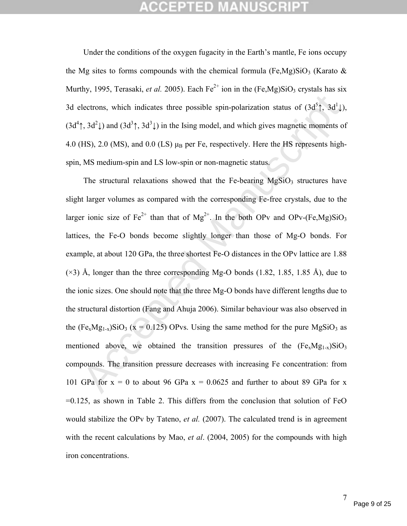# CGEPTED MANU:

Under the conditions of the oxygen fugacity in the Earth's mantle, Fe ions occupy the Mg sites to forms compounds with the chemical formula (Fe,Mg)SiO<sub>3</sub> (Karato  $\&$ Murthy, 1995, Terasaki, *et al.* 2005). Each  $Fe^{2+}$  ion in the (Fe,Mg)SiO<sub>3</sub> crystals has six 3d electrons, which indicates three possible spin-polarization status of  $(3d^5 \uparrow, 3d^1 \downarrow)$ ,  $(3d^4)$ ,  $3d^2$  and  $(3d^3)$ ,  $3d^3$  ) in the Ising model, and which gives magnetic moments of 4.0 (HS), 2.0 (MS), and 0.0 (LS)  $\mu_B$  per Fe, respectively. Here the HS represents highspin, MS medium-spin and LS low-spin or non-magnetic status.

electrons, which indicates three possible spin-polarization status of  $(3d^5t, 3d^1t)$ <br>  $\uparrow$ ,  $3d^2t$ ) and  $(3d^3t, 3d^3t)$  in the Ising model, and which gives magnetic moments o<br>
HS), 2.0 (MS), and 0.0 (LS) µa per Fe, r The structural relaxations showed that the Fe-bearing  $MgSiO<sub>3</sub>$  structures have slight larger volumes as compared with the corresponding Fe-free crystals, due to the larger ionic size of  $Fe^{2+}$  than that of  $Mg^{2+}$ . In the both OPv and OPv-(Fe,Mg)SiO<sub>3</sub> lattices, the Fe-O bonds become slightly longer than those of Mg-O bonds. For example, at about 120 GPa, the three shortest Fe-O distances in the OPv lattice are 1.88  $(\times 3)$  Å, longer than the three corresponding Mg-O bonds (1.82, 1.85, 1.85 Å), due to the ionic sizes. One should note that the three Mg-O bonds have different lengths due to the structural distortion (Fang and Ahuja 2006). Similar behaviour was also observed in the (Fe<sub>x</sub>Mg<sub>1-x</sub>)SiO<sub>3</sub> (x = 0.125) OPvs. Using the same method for the pure MgSiO<sub>3</sub> as mentioned above, we obtained the transition pressures of the  $(Fe_xMg_{1-x})SiO_3$ compounds. The transition pressure decreases with increasing Fe concentration: from 101 GPa for  $x = 0$  to about 96 GPa  $x = 0.0625$  and further to about 89 GPa for x  $=0.125$ , as shown in Table 2. This differs from the conclusion that solution of FeO would stabilize the OPv by Tateno, *et al.* (2007). The calculated trend is in agreement with the recent calculations by Mao, *et al.* (2004, 2005) for the compounds with high iron concentrations.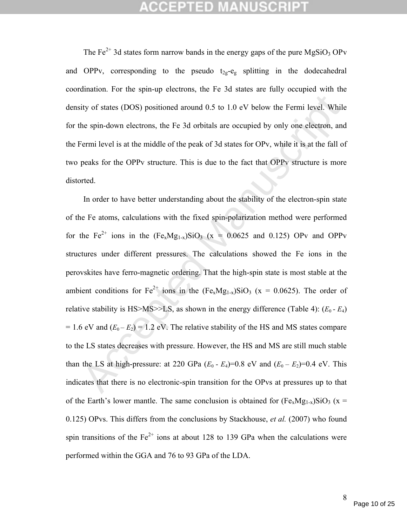The  $Fe^{2+}$  3d states form narrow bands in the energy gaps of the pure MgSiO<sub>3</sub> OPv and OPPv, corresponding to the pseudo  $t_{2g}$ -e<sub>g</sub> splitting in the dodecahedral coordination. For the spin-up electrons, the Fe 3d states are fully occupied with the density of states (DOS) positioned around 0.5 to 1.0 eV below the Fermi level. While for the spin-down electrons, the Fe 3d orbitals are occupied by only one electron, and the Fermi level is at the middle of the peak of 3d states for OPv, while it is at the fall of two peaks for the OPPv structure. This is due to the fact that OPPv structure is more distorted.

ity of states (DOS) positioned around 0.5 to 1.0 eV below the Fermi level. While<br>the spin-down electrons, the Fe 3d orbitals are occupied by only one electron, and<br>fermi level is at the middle of the peak of 3d states for In order to have better understanding about the stability of the electron-spin state of the Fe atoms, calculations with the fixed spin-polarization method were performed for the Fe<sup>2+</sup> ions in the  $(Fe_xMg_{1-x})SiO_3$  (x = 0.0625 and 0.125) OPv and OPPv structures under different pressures. The calculations showed the Fe ions in the perovskites have ferro-magnetic ordering. That the high-spin state is most stable at the ambient conditions for  $Fe^{2+}$  ions in the  $(Fe_xMg_{1-x})SiO_3$  (x = 0.0625). The order of relative stability is HS>MS>>LS, as shown in the energy difference (Table 4):  $(E_0 - E_4)$  $= 1.6$  eV and  $(E_0 - E_2) = 1.2$  eV. The relative stability of the HS and MS states compare to the LS states decreases with pressure. However, the HS and MS are still much stable than the LS at high-pressure: at 220 GPa  $(E_0 - E_4) = 0.8$  eV and  $(E_0 - E_2) = 0.4$  eV. This indicates that there is no electronic-spin transition for the OPvs at pressures up to that of the Earth's lower mantle. The same conclusion is obtained for  $(Fe_xMg_{1-x})SiO_3$  (x = 0.125) OPvs. This differs from the conclusions by Stackhouse, *et al.* (2007) who found spin transitions of the  $Fe^{2+}$  ions at about 128 to 139 GPa when the calculations were performed within the GGA and 76 to 93 GPa of the LDA.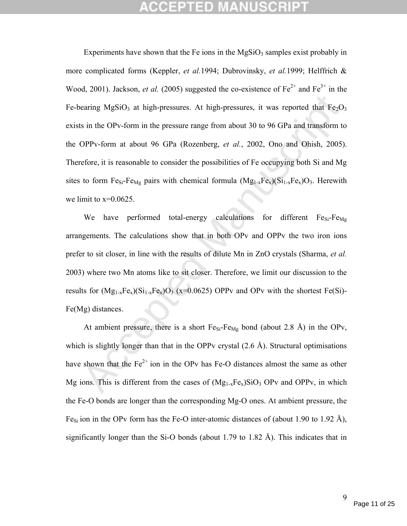caring MgSiO<sub>3</sub> at high-pressures. At high-pressures, it was reported that Fe<sub>2</sub>O<sub>3</sub> in the OPv-form in the pressure range from about 30 to 96 GPa and transform to OPPv-form in the pressure range from about 30 to 96 GPa a Experiments have shown that the Fe ions in the  $MgSiO<sub>3</sub>$  samples exist probably in more complicated forms (Keppler, *et al.*1994; Dubrovinsky, *et al.*1999; Helffrich & Wood, 2001). Jackson, *et al.* (2005) suggested the co-existence of  $Fe^{2+}$  and  $Fe^{3+}$  in the Fe-bearing MgSiO<sub>3</sub> at high-pressures. At high-pressures, it was reported that  $Fe<sub>2</sub>O<sub>3</sub>$ exists in the OPv-form in the pressure range from about 30 to 96 GPa and transform to the OPPv-form at about 96 GPa (Rozenberg, *et al.*, 2002, Ono and Ohish, 2005). Therefore, it is reasonable to consider the possibilities of Fe occupying both Si and Mg sites to form  $Fe_{Si}$ -Fe<sub>Mg</sub> pairs with chemical formula  $(Mg_{1-x}Fe_x)(Si_{1-x}Fe_x)O_3$ . Herewith we limit to  $x=0.0625$ .

We have performed total-energy calculations for different  $Fe_{Si} - Fe_{Mg}$ arrangements. The calculations show that in both OPv and OPPv the two iron ions prefer to sit closer, in line with the results of dilute Mn in ZnO crystals (Sharma, *et al.*  2003) where two Mn atoms like to sit closer. Therefore, we limit our discussion to the results for  $(Mg_{1-x}Fe_x)(Si_{1-x}Fe_x)O_3$  (x=0.0625) OPPv and OPv with the shortest Fe(Si)-Fe(Mg) distances.

At ambient pressure, there is a short  $Fe_{Si}Fe_{Mg}$  bond (about 2.8 Å) in the OPv, which is slightly longer than that in the OPPv crystal  $(2.6 \text{ Å})$ . Structural optimisations have shown that the  $Fe^{2+}$  ion in the OPv has Fe-O distances almost the same as other Mg ions. This is different from the cases of  $(Mg_{1-x}Fe_x)SiO_3$  OPv and OPPv, in which the Fe-O bonds are longer than the corresponding Mg-O ones. At ambient pressure, the Fe<sub>Si</sub> ion in the OPv form has the Fe-O inter-atomic distances of (about 1.90 to 1.92 Å), significantly longer than the Si-O bonds (about 1.79 to 1.82 Å). This indicates that in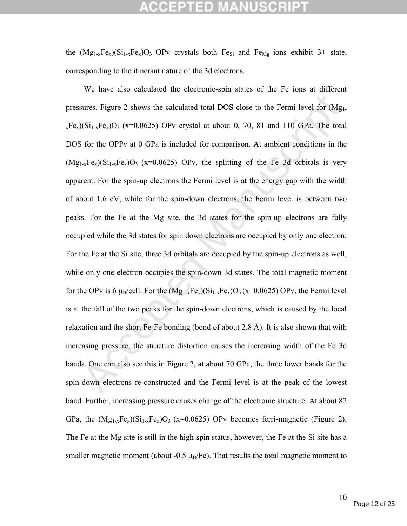# CEPTED

the  $(Mg_{1-x}Fe_x)(Si_{1-x}Fe_x)O_3$  OPv crystals both Fe<sub>Si</sub> and Fe<sub>Mg</sub> ions exhibit 3+ state, corresponding to the itinerant nature of the 3d electrons.

sures. Figure 2 shows the calculated total DOS close to the Fermi level for (Mg<sub>1</sub>)(Si<sub>1-x</sub>Fe<sub>x</sub>)O<sub>3</sub> (x=0.0625) OPv crystal at about 0, 70, 81 and 110 GPa. The tota<br>for the OPPv at 0 GPa is included for comparison. At am We have also calculated the electronic-spin states of the Fe ions at different pressures. Figure 2 shows the calculated total DOS close to the Fermi level for (Mg1-  $_{x}Fe_{x}$ )(Si<sub>1-x</sub>Fe<sub>x</sub>)O<sub>3</sub> (x=0.0625) OPv crystal at about 0, 70, 81 and 110 GPa. The total DOS for the OPPv at 0 GPa is included for comparison. At ambient conditions in the  $(Mg_{1-x}Fe_{x})(Si_{1-x}Fe_{x})O_3$  (x=0.0625) OPv, the splitting of the Fe 3d orbitals is very apparent. For the spin-up electrons the Fermi level is at the energy gap with the width of about 1.6 eV, while for the spin-down electrons, the Fermi level is between two peaks. For the Fe at the Mg site, the 3d states for the spin-up electrons are fully occupied while the 3d states for spin down electrons are occupied by only one electron. For the Fe at the Si site, three 3d orbitals are occupied by the spin-up electrons as well, while only one electron occupies the spin-down 3d states. The total magnetic moment for the OPv is 6  $\mu_B$ /cell. For the  $(Mg_{1-x}Fe_x)(Si_{1-x}Fe_x)O_3(x=0.0625)$  OPv, the Fermi level is at the fall of the two peaks for the spin-down electrons, which is caused by the local relaxation and the short Fe-Fe bonding (bond of about 2.8 Å). It is also shown that with increasing pressure, the structure distortion causes the increasing width of the Fe 3d bands. One can also see this in Figure 2, at about 70 GPa, the three lower bands for the spin-down electrons re-constructed and the Fermi level is at the peak of the lowest band. Further, increasing pressure causes change of the electronic structure. At about 82 GPa, the  $(Mg_{1-x}Fe_x)(Si_{1-x}Fe_x)O_3$  (x=0.0625) OPv becomes ferri-magnetic (Figure 2). The Fe at the Mg site is still in the high-spin status, however, the Fe at the Si site has a smaller magnetic moment (about -0.5  $\mu$ B/Fe). That results the total magnetic moment to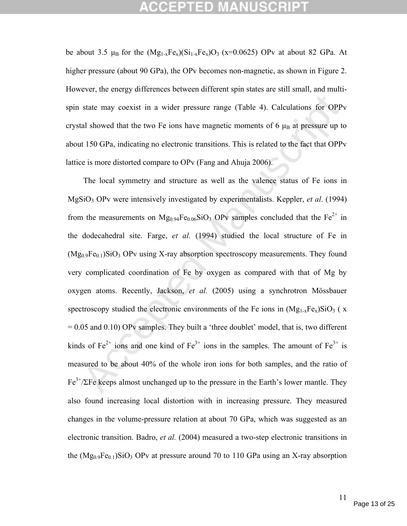# CCEPTED MANU:

be about 3.5  $\mu_B$  for the  $(Mg_{1-x}Fe_x)(Si_{1-x}Fe_x)O_3$  (x=0.0625) OPv at about 82 GPa. At higher pressure (about 90 GPa), the OPv becomes non-magnetic, as shown in Figure 2. However, the energy differences between different spin states are still small, and multispin state may coexist in a wider pressure range (Table 4). Calculations for OPPv crystal showed that the two Fe ions have magnetic moments of 6  $\mu_B$  at pressure up to about 150 GPa, indicating no electronic transitions. This is related to the fact that OPPv lattice is more distorted compare to OPv (Fang and Ahuja 2006).

state may coexist in a wider pressure range (Table 4). Calculations for OPPy<br>all showed that the two Fe ions have magnetic moments of 6  $\mu_B$  at pressure up to<br>the 150 GPa, indicating no electronic transitions. This is re The local symmetry and structure as well as the valence status of Fe ions in MgSiO3 OPv were intensively investigated by experimentalists. Keppler, *et al*. (1994) from the measurements on Mg<sub>0.94</sub>Fe<sub>0.06</sub>SiO<sub>3</sub> OPv samples concluded that the Fe<sup>2+</sup> in the dodecahedral site. Farge, *et al.* (1994) studied the local structure of Fe in  $(Mg<sub>0.9</sub>Fe<sub>0.1</sub>)SiO<sub>3</sub>$  OPv using X-ray absorption spectroscopy measurements. They found very complicated coordination of Fe by oxygen as compared with that of Mg by oxygen atoms. Recently, Jackson, *et al.* (2005) using a synchrotron Mössbauer spectroscopy studied the electronic environments of the Fe ions in  $(Mg_{1-x}Fe_x)SiO_3$  (x = 0.05 and 0.10) OPv samples. They built a 'three doublet' model, that is, two different kinds of  $Fe^{2+}$  ions and one kind of  $Fe^{3+}$  ions in the samples. The amount of  $Fe^{3+}$  is measured to be about 40% of the whole iron ions for both samples, and the ratio of  $Fe<sup>3+</sup>/\Sigma Fe$  keeps almost unchanged up to the pressure in the Earth's lower mantle. They also found increasing local distortion with in increasing pressure. They measured changes in the volume-pressure relation at about 70 GPa, which was suggested as an electronic transition. Badro, *et al.* (2004) measured a two-step electronic transitions in the  $(Mg_0, Fg_0, SiO_3$  OPv at pressure around 70 to 110 GPa using an X-ray absorption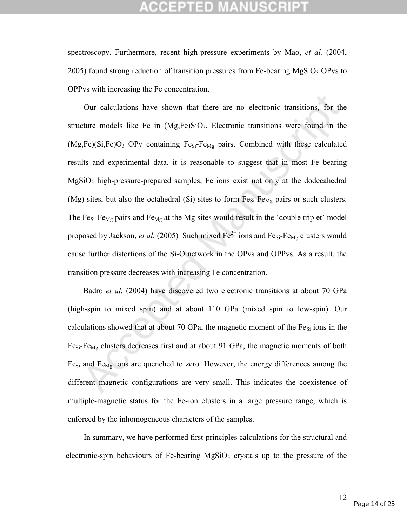## CGEPTED M

spectroscopy. Furthermore, recent high-pressure experiments by Mao, *et al.* (2004,  $2005$ ) found strong reduction of transition pressures from Fe-bearing MgSiO<sub>3</sub> OPvs to OPPvs with increasing the Fe concentration.

Our calculations have shown that there are no electronic transitions, for the<br>ture models like Fe in (Mg,Fe)SiO<sub>3</sub>. Electronic transitions were found in the<br>f,Fe)(Si,Fe)O<sub>3</sub> OPv containing Fe<sub>S</sub>-Fe<sub>Mg</sub> pairs. Combined wit Our calculations have shown that there are no electronic transitions, for the structure models like Fe in  $(Mg, Fe)SiO<sub>3</sub>$ . Electronic transitions were found in the  $(Mg,Fe)(Si,Fe)O<sub>3</sub>$  OPv containing Fe<sub>Si</sub>-Fe<sub>Mg</sub> pairs. Combined with these calculated results and experimental data, it is reasonable to suggest that in most Fe bearing MgSiO3 high-pressure-prepared samples, Fe ions exist not only at the dodecahedral (Mg) sites, but also the octahedral (Si) sites to form  $Fe_{Si}-Fe_{Mg}$  pairs or such clusters. The Fe<sub>Si</sub>-Fe<sub>Mg</sub> pairs and Fe<sub>Mg</sub> at the Mg sites would result in the 'double triplet' model proposed by Jackson, *et al.* (2005). Such mixed  $Fe^{2+}$  ions and  $Fe_{Si}$ -Fe<sub>Mg</sub> clusters would cause further distortions of the Si-O network in the OPvs and OPPvs. As a result, the transition pressure decreases with increasing Fe concentration.

Badro *et al.* (2004) have discovered two electronic transitions at about 70 GPa (high-spin to mixed spin) and at about 110 GPa (mixed spin to low-spin). Our calculations showed that at about 70 GPa, the magnetic moment of the  $Fe_{Si}$  ions in the  $Fe_{Si}-Fe_{Mg}$  clusters decreases first and at about 91 GPa, the magnetic moments of both Fe<sub>Si</sub> and Fe<sub>Mg</sub> ions are quenched to zero. However, the energy differences among the different magnetic configurations are very small. This indicates the coexistence of multiple-magnetic status for the Fe-ion clusters in a large pressure range, which is enforced by the inhomogeneous characters of the samples.

In summary, we have performed first-principles calculations for the structural and electronic-spin behaviours of Fe-bearing  $MgSiO<sub>3</sub>$  crystals up to the pressure of the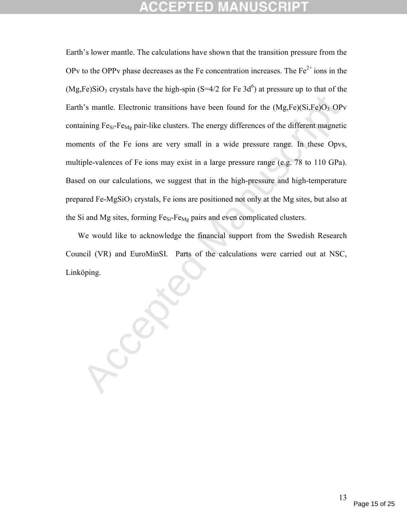th's mantle. Electronic transitions have been found for the  $(Mg,Fe)(Si,Fe)O_3$  OP<br>naining Fe<sub>Si</sub>-Fe<sub>Mg</sub> pair-like clusters. The energy differences of the different magnetic<br>nents of the Fe ions are very small in a wide pressu Earth's lower mantle. The calculations have shown that the transition pressure from the OPv to the OPPv phase decreases as the Fe concentration increases. The  $Fe<sup>2+</sup>$  ions in the  $(Mg, Fe)SiO<sub>3</sub>$  crystals have the high-spin (S=4/2 for Fe 3d<sup>6</sup>) at pressure up to that of the Earth's mantle. Electronic transitions have been found for the  $(Mg,Fe)(Si,Fe)O<sub>3</sub>$  OPv containing Fe<sub>Si</sub>-Fe<sub>Mg</sub> pair-like clusters. The energy differences of the different magnetic moments of the Fe ions are very small in a wide pressure range. In these Opvs, multiple-valences of Fe ions may exist in a large pressure range (e.g. 78 to 110 GPa). Based on our calculations, we suggest that in the high-pressure and high-temperature prepared Fe-MgSiO<sub>3</sub> crystals, Fe ions are positioned not only at the Mg sites, but also at the Si and Mg sites, forming  $Fe_{Si}-Fe_{Mg}$  pairs and even complicated clusters.

We would like to acknowledge the financial support from the Swedish Research Council (VR) and EuroMinSI. Parts of the calculations were carried out at NSC, Linköping.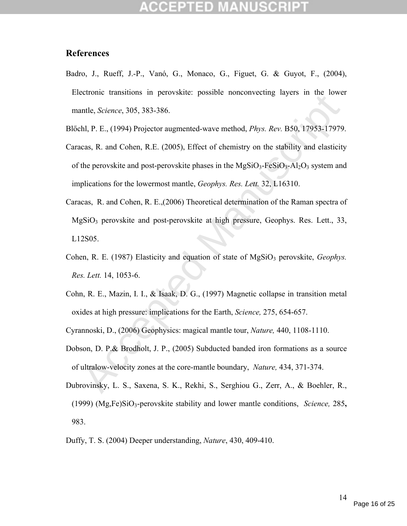### **References**

- Badro, J., Rueff, J.-P., Vanó, G., Monaco, G., Figuet, G. & Guyot, F., (2004), Electronic transitions in perovskite: possible nonconvecting layers in the lower mantle, *Science*, 305, 383-386.
- Blőchl, P. E., (1994) Projector augmented-wave method, *Phys. Rev.* B50, 17953-17979.
- Letome bussinons in perotosaine, possione inducativeting layers in the tote-<br>
Intel, *Science*, 305, 383-386.<br>
Independent Manuscription and Cohen, R.E. (2005), Effect of chemistry on the stability and elasticity<br>
the per Caracas, R. and Cohen, R.E. (2005), Effect of chemistry on the stability and elasticity of the perovskite and post-perovskite phases in the  $MgSiO<sub>3</sub>-FeSiO<sub>3</sub>-Al<sub>2</sub>O<sub>3</sub>$  system and implications for the lowermost mantle, *Geophys. Res. Lett.* 32, L16310.
- Caracas, R. and Cohen, R. E.,(2006) Theoretical determination of the Raman spectra of  $MgSiO<sub>3</sub>$  perovskite and post-perovskite at high pressure, Geophys. Res. Lett., 33, L12S05.
- Cohen, R. E. (1987) Elasticity and equation of state of MgSiO<sub>3</sub> perovskite, *Geophys. Res. Lett.* 14, 1053-6.
- Cohn, R. E., Mazin, I. I., & Isaak, D. G., (1997) Magnetic collapse in transition metal oxides at high pressure: implications for the Earth, *Science,* 275, 654-657.

Cyrannoski, D., (2006) Geophysics: magical mantle tour, *Nature,* 440, 1108-1110.

- Dobson, D. P.& Brodholt, J. P., (2005) Subducted banded iron formations as a source of ultralow-velocity zones at the core-mantle boundary, *Nature,* 434, 371-374.
- Dubrovinsky, L. S., Saxena, S. K., Rekhi, S., Serghiou G., Zerr, A., & Boehler, R., (1999) (Mg,Fe)SiO3-perovskite stability and lower mantle conditions, *Science,* 285**,** 983.
- Duffy, T. S. (2004) Deeper understanding, *Nature*, 430, 409-410.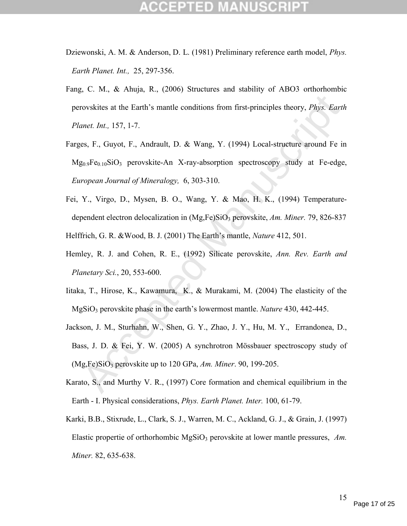- Dziewonski, A. M. & Anderson, D. L. (1981) Preliminary reference earth model, *Phys. Earth Planet. Int.,* 25, 297-356.
- Fang, C. M., & Ahuja, R., (2006) Structures and stability of ABO3 orthorhombic perovskites at the Earth's mantle conditions from first-principles theory, *Phys. Earth Planet. Int.,* 157, 1-7.
- rovskites at the Earth's mantle conditions from first-principles theory, *Phys. Earth*<br>
nnet. Int., 157, 1-7.<br>
es, F., Guyot, F., Andrault, D. & Wang, Y. (1994) Local-structure around Fe in<br>  $g_{0.9}Fe_{0.10}SiO_3$  perovskite Farges, F., Guyot, F., Andrault, D. & Wang, Y. (1994) Local-structure around Fe in  $Mg_{0.9}Fe_{0.10}SiO_3$  perovskite-An X-ray-absorption spectroscopy study at Fe-edge, *European Journal of Mineralogy,* 6, 303-310.
- Fei, Y., Virgo, D., Mysen, B. O., Wang, Y. & Mao, H. K., (1994) Temperaturedependent electron delocalization in (Mg,Fe)SiO3 perovskite, *Am. Miner.* 79, 826-837 Helffrich, G. R. &Wood, B. J. (2001) The Earth's mantle, *Nature* 412, 501.
- Hemley, R. J. and Cohen, R. E., (1992) Silicate perovskite, *Ann. Rev. Earth and Planetary Sci.*, 20, 553-600.
- Iitaka, T., Hirose, K., Kawamura, K., & Murakami, M. (2004) The elasticity of the MgSiO3 perovskite phase in the earth's lowermost mantle. *Nature* 430, 442-445.
- Jackson, J. M., Sturhahn, W., Shen, G. Y., Zhao, J. Y., Hu, M. Y., Errandonea, D., Bass, J. D. & Fei, Y. W. (2005) A synchrotron Mössbauer spectroscopy study of (Mg,Fe)SiO3 perovskite up to 120 GPa, *Am. Miner*. 90, 199-205.
- Karato, S., and Murthy V. R., (1997) Core formation and chemical equilibrium in the Earth - I. Physical considerations, *Phys. Earth Planet. Inter.* 100, 61-79.
- Karki, B.B., Stixrude, L., Clark, S. J., Warren, M. C., Ackland, G. J., & Grain, J. (1997) Elastic propertie of orthorhombic MgSiO<sub>3</sub> perovskite at lower mantle pressures, Am. *Miner.* 82, 635-638.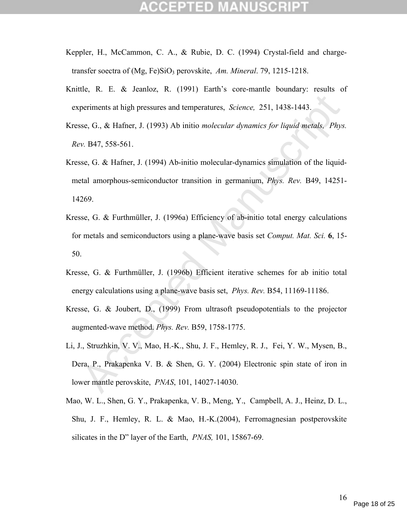- Keppler, H., McCammon, C. A., & Rubie, D. C. (1994) Crystal-field and chargetransfer soectra of (Mg, Fe)SiO<sub>3</sub> perovskite, *Am. Mineral.* 79, 1215-1218.
- Knittle, R. E. & Jeanloz, R. (1991) Earth's core-mantle boundary: results of experiments at high pressures and temperatures, *Science,* 251, 1438-1443.
- Kresse, G., & Hafner, J. (1993) Ab initio *molecular dynamics for liquid metals, Phys. Rev.* B47, 558-561.
- Kresse, G. & Hafner, J. (1994) Ab-initio molecular-dynamics simulation of the liquidmetal amorphous-semiconductor transition in germanium, *Phys. Rev.* B49, 14251- 14269.
- Kresse, G. & Furthmüller, J. (1996a) Efficiency of ab-initio total energy calculations for metals and semiconductors using a plane-wave basis set *Comput. Mat. Sci.* **6**, 15- 50.
- Kresse, G. & Furthmüller, J. (1996b) Efficient iterative schemes for ab initio total energy calculations using a plane-wave basis set, *Phys. Rev.* B54, 11169-11186.
- Kresse, G. & Joubert, D., (1999) From ultrasoft pseudopotentials to the projector augmented-wave method. *Phys. Rev.* B59, 1758-1775.
- periments at high pressures and temperatures, *Science*, 251, 1438-1443,<br>se, G., & Hafner, J. (1993) Ab initio *molecular dynamics for liquid metals*, *Phys*<br>v. B47, 558-561.<br>se, G. & Hafner, J. (1994) Ab-initio molecular-Li, J., Struzhkin, V. V., Mao, H.-K., Shu, J. F., Hemley, R. J., Fei, Y. W., Mysen, B., Dera, P., Prakapenka V. B. & Shen, G. Y. (2004) Electronic spin state of iron in lower mantle perovskite, *PNAS*, 101, 14027-14030.
- Mao, W. L., Shen, G. Y., Prakapenka, V. B., Meng, Y., Campbell, A. J., Heinz, D. L., Shu, J. F., Hemley, R. L. & Mao, H.-K.(2004), Ferromagnesian postperovskite silicates in the D" layer of the Earth, *PNAS,* 101, 15867-69.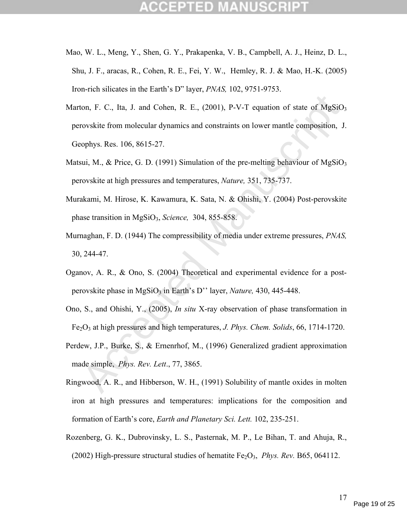- Mao, W. L., Meng, Y., Shen, G. Y., Prakapenka, V. B., Campbell, A. J., Heinz, D. L., Shu, J. F., aracas, R., Cohen, R. E., Fei, Y. W., Hemley, R. J. & Mao, H.-K. (2005) Iron-rich silicates in the Earth's D" layer, *PNAS,* 102, 9751-9753.
- ton, F. C., Ita, J. and Cohen, R. E., (2001), P-V-T equation of state of MgSiO.<br>rovskite from molecular dynamics and constraints on lower mantle composition, J<br>ophys. Res. 106, 8615-27.<br>sui, M., & Price, G. D. (1991) Simu Marton, F. C., Ita, J. and Cohen, R. E.,  $(2001)$ , P-V-T equation of state of  $MgSiO<sub>3</sub>$ perovskite from molecular dynamics and constraints on lower mantle composition, J. Geophys. Res. 106, 8615-27.
- Matsui, M., & Price, G. D. (1991) Simulation of the pre-melting behaviour of  $MgSiO<sub>3</sub>$ perovskite at high pressures and temperatures, *Nature,* 351, 735-737.
- Murakami, M. Hirose, K. Kawamura, K. Sata, N. & Ohishi, Y. (2004) Post-perovskite phase transition in MgSiO3, *Science,* 304, 855-858.
- Murnaghan, F. D. (1944) The compressibility of media under extreme pressures, *PNAS,*  30, 244-47.
- Oganov, A. R., & Ono, S. (2004) Theoretical and experimental evidence for a postperovskite phase in MgSiO<sub>3</sub> in Earth's D'' layer, *Nature*, 430, 445-448.
- Ono, S., and Ohishi, Y., (2005), *In situ* X-ray observation of phase transformation in Fe2O3 at high pressures and high temperatures, *J. Phys. Chem. Solids*, 66, 1714-1720.
- Perdew, J.P., Burke, S., & Ernenrhof, M., (1996) Generalized gradient approximation made simple, *Phys. Rev. Lett*., 77, 3865.
- Ringwood, A. R., and Hibberson, W. H., (1991) Solubility of mantle oxides in molten iron at high pressures and temperatures: implications for the composition and formation of Earth's core, *Earth and Planetary Sci. Lett.* 102, 235-251.
- Rozenberg, G. K., Dubrovinsky, L. S., Pasternak, M. P., Le Bihan, T. and Ahuja, R., (2002) High-pressure structural studies of hematite Fe<sub>2</sub>O<sub>3</sub>, *Phys. Rev.* B65, 064112.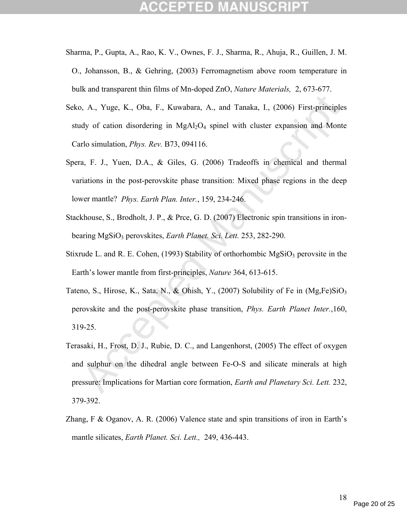- Sharma, P., Gupta, A., Rao, K. V., Ownes, F. J., Sharma, R., Ahuja, R., Guillen, J. M. O., Johansson, B., & Gehring, (2003) Ferromagnetism above room temperature in bulk and transparent thin films of Mn-doped ZnO, *Nature Materials,* 2, 673-677.
- Seko, A., Yuge, K., Oba, F., Kuwabara, A., and Tanaka, I., (2006) First-principles study of cation disordering in  $MgAl<sub>2</sub>O<sub>4</sub>$  spinel with cluster expansion and Monte Carlo simulation, *Phys. Rev.* B73, 094116.
- Spera, F. J., Yuen, D.A., & Giles, G. (2006) Tradeoffs in chemical and thermal variations in the post-perovskite phase transition: Mixed phase regions in the deep lower mantle? *Phys. Earth Plan. Inter.*, 159, 234-246.
- Stackhouse, S., Brodholt, J. P., & Prce, G. D. (2007) Electronic spin transitions in ironbearing MgSiO<sub>3</sub> perovskites, *Earth Planet. Sci. Lett.* 253, 282-290.
- Stixrude L. and R. E. Cohen, (1993) Stability of orthorhombic  $MgSiO<sub>3</sub>$  perovsite in the Earth's lower mantle from first-principles, *Nature* 364, 613-615.
- Tateno, S., Hirose, K., Sata, N., & Ohish, Y., (2007) Solubility of Fe in (Mg,Fe)SiO<sub>3</sub> perovskite and the post-perovskite phase transition, *Phys. Earth Planet Inter.*,160, 319-25.
- b, A., Yuge, K., Oba, F., Kuwabara, A., and Tanaka, I., (2006) First-principle:<br>dy of cation disordering in MgAl<sub>2</sub>O<sub>4</sub> spinel with cluster expansion and Monte<br>rlo simulation, *Phys. Rev.* B73, 094116.<br>a, F. J., Yuen, D.A Terasaki, H., Frost, D. J., Rubie, D. C., and Langenhorst, (2005) The effect of oxygen and sulphur on the dihedral angle between Fe-O-S and silicate minerals at high pressure: Implications for Martian core formation, *Earth and Planetary Sci. Lett.* 232, 379-392.
- Zhang, F & Oganov, A. R. (2006) Valence state and spin transitions of iron in Earth's mantle silicates, *Earth Planet. Sci. Lett.,* 249, 436-443.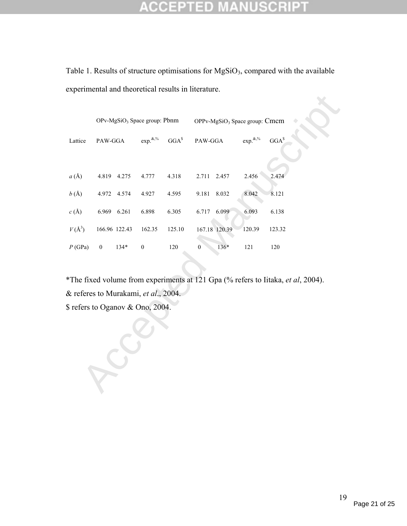### **CCEPTED MANUSCRIPT** 公

Table 1. Results of structure optimisations for  $MgSiO<sub>3</sub>$ , compared with the available experimental and theoretical results in literature.

|                                                                                                                          | OPv-MgSiO <sub>3</sub> Space group: Pbnm |               |                                  |                  | OPPv-MgSiO <sub>3</sub> Space group: Cmcm |                  |         |  |  |
|--------------------------------------------------------------------------------------------------------------------------|------------------------------------------|---------------|----------------------------------|------------------|-------------------------------------------|------------------|---------|--|--|
| Lattice                                                                                                                  | PAW-GGA                                  |               | $\exp^{\&, \%$                   | GGA <sup>s</sup> | PAW-GGA                                   | $\exp.^{\&, \%}$ | $GGA^s$ |  |  |
| $a(\AA)$                                                                                                                 |                                          | 4.819 4.275   | 4.777                            | 4.318            | 2.711 2.457                               | 2.456            | 2.474   |  |  |
| b(A)                                                                                                                     |                                          | 4.972 4.574   | 4.927                            | 4.595            | 9.181<br>8.032                            | 8.042            | 8.121   |  |  |
| $c\left(\mbox{\AA}\right)$                                                                                               |                                          | 6.969 6.261   | 6.898                            | 6.305            | 6.717<br>6.099                            | 6.093            | 6.138   |  |  |
| $V(\AA^3)$                                                                                                               |                                          | 166.96 122.43 | 162.35                           | 125.10           | 167.18 120.39                             | 120.39           | 123.32  |  |  |
| P(GPa)                                                                                                                   | $\boldsymbol{0}$                         | $134*$        | $\boldsymbol{0}$                 | 120              | 136*<br>$\boldsymbol{0}$                  | 121              | 120     |  |  |
| *The fixed volume from experiments at 121 Gpa (% refers to Iitaka, et al, 2004).<br>& referes to Murakami, et al., 2004. |                                          |               |                                  |                  |                                           |                  |         |  |  |
|                                                                                                                          |                                          |               | \$ refers to Oganov & Ono, 2004. |                  |                                           |                  |         |  |  |
|                                                                                                                          |                                          |               |                                  |                  |                                           |                  |         |  |  |
|                                                                                                                          |                                          |               |                                  |                  |                                           |                  |         |  |  |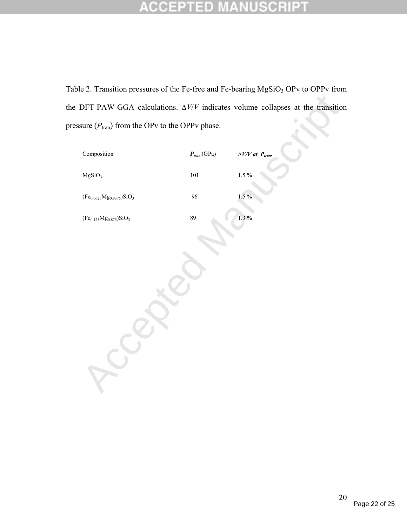### **ANUSCRIPT** CCEPTED

Table 2. Transition pressures of the Fe-free and Fe-bearing MgSiO<sub>3</sub> OPv to OPPv from the DFT-PAW-GGA calculations. ∆*V*/*V* indicates volume collapses at the transition pressure  $(P<sub>tran</sub>)$  from the OPv to the OPPv phase.

| Composition                           | $\textbf{\textit{P}}_{tran}\left(\textrm{GPa}\right)$ | $\Delta V/V$ at $P_{tran}$ . |
|---------------------------------------|-------------------------------------------------------|------------------------------|
| MgSiO <sub>3</sub>                    | $101\,$                                               | $1.5~\%$                     |
| $({\rm Fe_{0.0625}Mg_{0.9375})SiO_3}$ | 96                                                    | $1.5\%$                      |
| $(Fe0.125Mg0.875)SiO3$                | 89                                                    | $1.3\%$                      |
|                                       |                                                       |                              |
|                                       |                                                       |                              |
|                                       |                                                       |                              |
|                                       |                                                       |                              |
|                                       |                                                       |                              |
|                                       |                                                       |                              |
|                                       |                                                       |                              |
|                                       |                                                       |                              |
|                                       |                                                       |                              |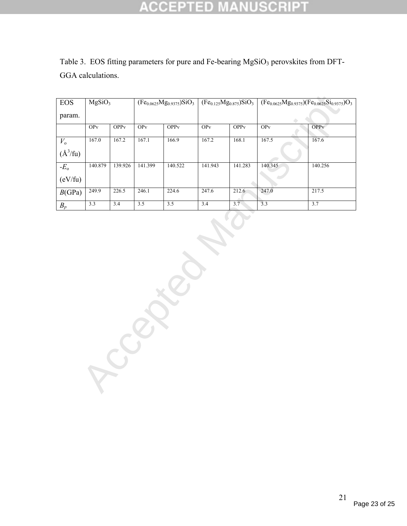### **CCEPTED SCRIPT**  $\overline{\tau}$

| <b>EOS</b>   | MgSiO <sub>3</sub>     |              | $(Fe_{0.0625}Mg_{0.9375})SiO_3$ |                  | $(Fe0.125Mg0.875)SiO3$ |              | $(Fe_{0.0625}Mg_{0.9375})(Fe_{0.0625}Si_{0.9375})O_3$ |                         |
|--------------|------------------------|--------------|---------------------------------|------------------|------------------------|--------------|-------------------------------------------------------|-------------------------|
| param.       |                        |              |                                 |                  |                        |              |                                                       |                         |
|              | <b>OP</b> <sub>v</sub> | <b>OPP</b> v | OPv                             | OPP <sub>v</sub> | OPv                    | <b>OPP</b> v | OPv                                                   | <b>OPP</b> <sub>V</sub> |
| $V_{\rm o}$  | 167.0                  | 167.2        | 167.1                           | 166.9            | 167.2                  | 168.1        | 167.5                                                 | 167.6                   |
| $(\AA^3/fu)$ |                        |              |                                 |                  |                        |              |                                                       |                         |
| $-Eo$        | 140.879                | 139.926      | 141.399                         | 140.522          | 141.943                | 141.283      | 140.345                                               | 140.256                 |
| (eV/fu)      |                        |              |                                 |                  |                        |              |                                                       |                         |
| B(GPa)       | 249.9                  | 226.5        | 246.1                           | 224.6            | 247.6                  | 212.6        | 247.0                                                 | 217.5                   |
| $B_p$        | 3.3                    | 3.4          | 3.5                             | 3.5              | 3.4                    | 3.7          | 3.3                                                   | 3.7                     |

Table 3. EOS fitting parameters for pure and Fe-bearing MgSiO<sub>3</sub> perovskites from DFT-GGA calculations.

Ccepted Manuscript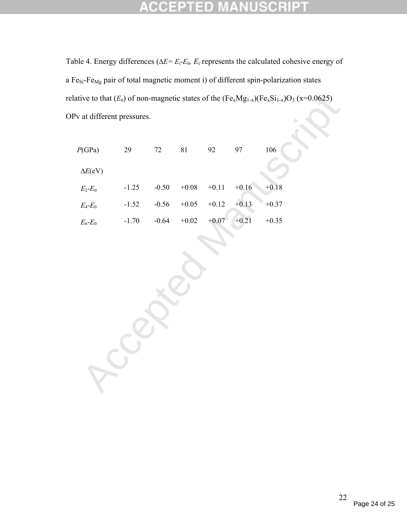### **NUSCRIPT**  $\overline{\tau}$ CCEPTED

Table 4. Energy differences ( $\Delta E = E_i - E_0$ ,  $E_i$  represents the calculated cohesive energy of a Fe<sub>Si</sub>-Fe<sub>Mg</sub> pair of total magnetic moment i) of different spin-polarization states relative to that  $(E_0)$  of non-magnetic states of the  $(Fe_xMg_{1-x})(Fe_xSi_{1-x})O_3$  (x=0.0625) OPv at different pressures.

|                           |         |         |             |         |         | ative to that $(E_0)$ of non-magnetic states of the $(Fe_xMg_{1-x})(Fe_xSi_{1-x})O_3$ (x=0.0625) |  |
|---------------------------|---------|---------|-------------|---------|---------|--------------------------------------------------------------------------------------------------|--|
| v at different pressures. |         |         |             |         |         |                                                                                                  |  |
| P(GPa)                    | 29      | $72\,$  | $8\sqrt{1}$ | 92      | 97      | 106                                                                                              |  |
| $\Delta E(\text{eV})$     |         |         |             |         |         |                                                                                                  |  |
| $E_2$ - $E_0$             | $-1.25$ | $-0.50$ | $+0.08$     | $+0.11$ | $+0.16$ | $+0.18$                                                                                          |  |
| $E_4$ - $E_0$             | $-1.52$ | $-0.56$ | $+0.05$     | $+0.12$ | $+0.13$ | $+0.37$                                                                                          |  |
| $E_6$ - $E_0$             | $-1.70$ | $-0.64$ | $+0.02$     | $+0.07$ | $+0.21$ | $+0.35$                                                                                          |  |
|                           |         |         |             |         |         |                                                                                                  |  |